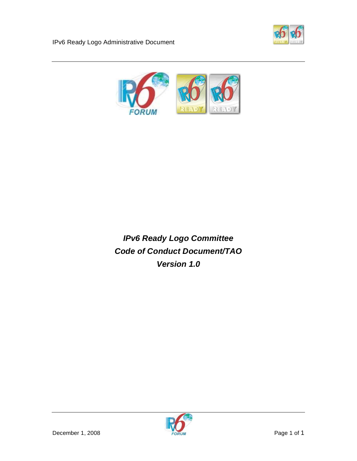

IPv6 Ready Logo Administrative Document



*IPv6 Ready Logo Committee Code of Conduct Document/TAO Version 1.0* 

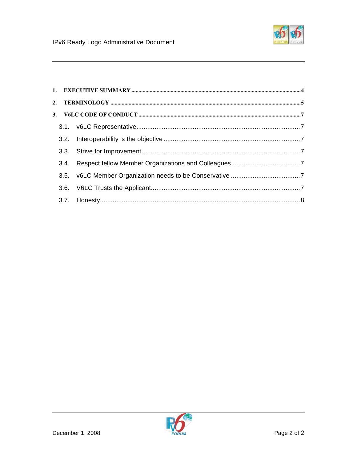

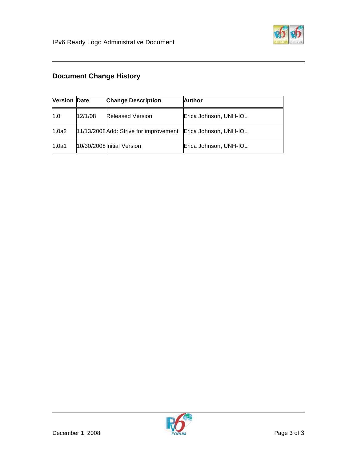

# **Document Change History**

| <b>Version Date</b> |         | <b>Change Description</b>                                     | <b>Author</b>          |
|---------------------|---------|---------------------------------------------------------------|------------------------|
| 1.0                 | 12/1/08 | <b>Released Version</b>                                       | Erica Johnson, UNH-IOL |
| 1.0a2               |         | 11/13/2008 Add: Strive for improvement Erica Johnson, UNH-IOL |                        |
| 1.0a1               |         | 10/30/2008 Initial Version                                    | Erica Johnson, UNH-IOL |

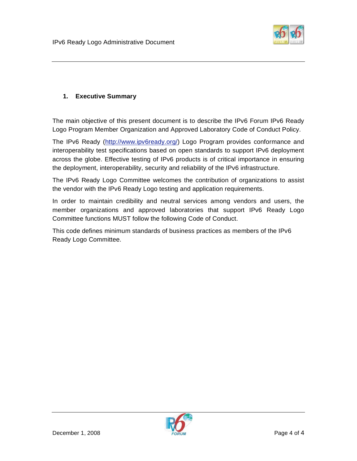

# **1. Executive Summary**

The main objective of this present document is to describe the IPv6 Forum IPv6 Ready Logo Program Member Organization and Approved Laboratory Code of Conduct Policy.

The IPv6 Ready (http://www.ipv6ready.org/) Logo Program provides conformance and interoperability test specifications based on open standards to support IPv6 deployment across the globe. Effective testing of IPv6 products is of critical importance in ensuring the deployment, interoperability, security and reliability of the IPv6 infrastructure.

The IPv6 Ready Logo Committee welcomes the contribution of organizations to assist the vendor with the IPv6 Ready Logo testing and application requirements.

In order to maintain credibility and neutral services among vendors and users, the member organizations and approved laboratories that support IPv6 Ready Logo Committee functions MUST follow the following Code of Conduct.

This code defines minimum standards of business practices as members of the IPv6 Ready Logo Committee.

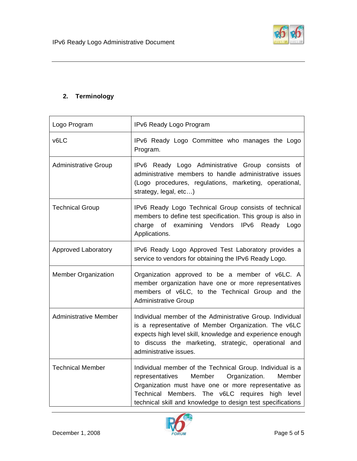

# **2. Terminology**

| Logo Program                 | IPv6 Ready Logo Program                                                                                                                                                                                                                                                                     |
|------------------------------|---------------------------------------------------------------------------------------------------------------------------------------------------------------------------------------------------------------------------------------------------------------------------------------------|
| v6LC                         | IPv6 Ready Logo Committee who manages the Logo<br>Program.                                                                                                                                                                                                                                  |
| <b>Administrative Group</b>  | IPv6 Ready Logo Administrative Group consists of<br>administrative members to handle administrative issues<br>(Logo procedures, regulations, marketing, operational,<br>strategy, legal, etc)                                                                                               |
| <b>Technical Group</b>       | IPv6 Ready Logo Technical Group consists of technical<br>members to define test specification. This group is also in<br>of examining Vendors IPv6<br>charge<br>Ready Logo<br>Applications.                                                                                                  |
| <b>Approved Laboratory</b>   | IPv6 Ready Logo Approved Test Laboratory provides a<br>service to vendors for obtaining the IPv6 Ready Logo.                                                                                                                                                                                |
| <b>Member Organization</b>   | Organization approved to be a member of v6LC. A<br>member organization have one or more representatives<br>members of v6LC, to the Technical Group and the<br><b>Administrative Group</b>                                                                                                   |
| <b>Administrative Member</b> | Individual member of the Administrative Group. Individual<br>is a representative of Member Organization. The v6LC<br>expects high level skill, knowledge and experience enough<br>to discuss the marketing, strategic, operational and<br>administrative issues.                            |
| <b>Technical Member</b>      | Individual member of the Technical Group. Individual is a<br>Member<br>Organization.<br>Member<br>representatives<br>Organization must have one or more representative as<br>Technical Members. The v6LC requires high level<br>technical skill and knowledge to design test specifications |

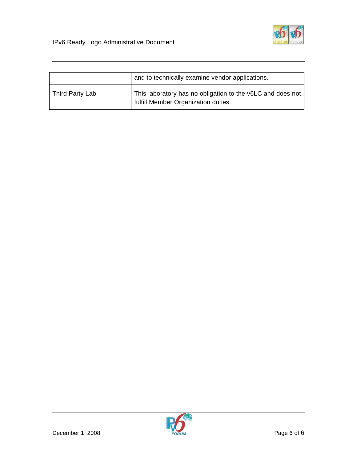

|                 | and to technically examine vendor applications.                                                   |
|-----------------|---------------------------------------------------------------------------------------------------|
| Third Party Lab | This laboratory has no obligation to the v6LC and does not<br>fulfill Member Organization duties. |

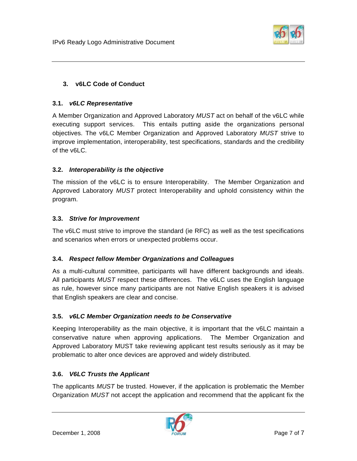

# **3. v6LC Code of Conduct**

## **3.1.** *v6LC Representative*

A Member Organization and Approved Laboratory *MUST* act on behalf of the v6LC while executing support services. This entails putting aside the organizations personal objectives. The v6LC Member Organization and Approved Laboratory *MUST* strive to improve implementation, interoperability, test specifications, standards and the credibility of the v6LC.

## **3.2.** *Interoperability is the objective*

The mission of the v6LC is to ensure Interoperability. The Member Organization and Approved Laboratory *MUST* protect Interoperability and uphold consistency within the program.

#### **3.3.** *Strive for Improvement*

The v6LC must strive to improve the standard (ie RFC) as well as the test specifications and scenarios when errors or unexpected problems occur.

## **3.4.** *Respect fellow Member Organizations and Colleagues*

As a multi-cultural committee, participants will have different backgrounds and ideals. All participants *MUST* respect these differences. The v6LC uses the English language as rule, however since many participants are not Native English speakers it is advised that English speakers are clear and concise.

## **3.5.** *v6LC Member Organization needs to be Conservative*

Keeping Interoperability as the main objective, it is important that the v6LC maintain a conservative nature when approving applications. The Member Organization and Approved Laboratory MUST take reviewing applicant test results seriously as it may be problematic to alter once devices are approved and widely distributed.

## **3.6.** *V6LC Trusts the Applicant*

The applicants *MUST* be trusted. However, if the application is problematic the Member Organization *MUST* not accept the application and recommend that the applicant fix the